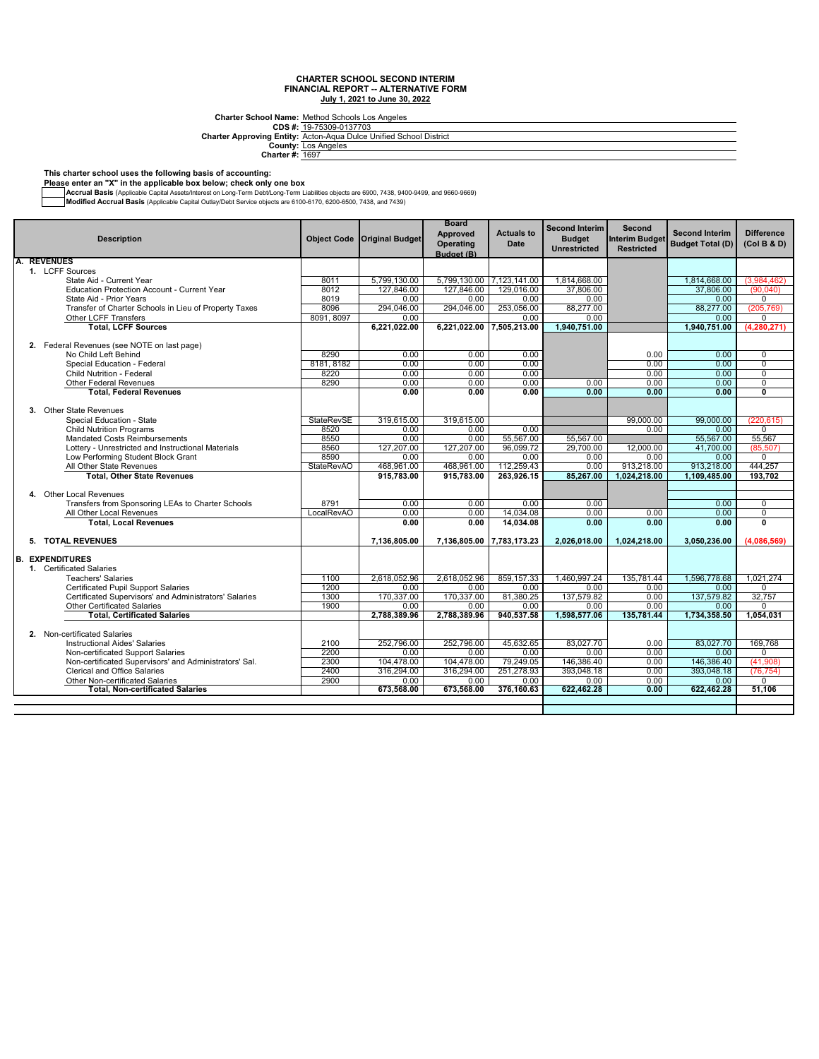Charter School Name: <u>Method Schools Los Angeles</u><br>CDS #: <u>19-75309-0137703</u><br>Inter Approving Entity: <u>Acto</u>n-Aqua Dulce Unified School Districtد

**CDS #: Charter Approving Entity:**

**County: Charter #:** Los Angeles 1697

#### **This charter school uses the following basis of accounting:**

**Please enter an "X" in the applicable box below; check only one box**

**Accrual Basis** (Applicable Capital Assets/Interest on Long-Term Debt/Long-Term Liabilities objects are 6900, 7438, 9400-9499, and 9660-9669,<br>**Modified Accrual Basis** (Applicable Capital Outlay/Debt Service objects are 610

| <b>Description</b>                                     | <b>Object Code</b> | <b>Original Budget</b> | <b>Board</b><br><b>Approved</b><br>Operating<br>Budget (B) | <b>Actuals to</b><br><b>Date</b> | <b>Second Interim</b><br><b>Budget</b><br><b>Unrestricted</b> | <b>Second</b><br><b>Interim Budget</b><br><b>Restricted</b> | <b>Second Interim</b><br><b>Budget Total (D)</b> | <b>Difference</b><br>(Col B & D) |
|--------------------------------------------------------|--------------------|------------------------|------------------------------------------------------------|----------------------------------|---------------------------------------------------------------|-------------------------------------------------------------|--------------------------------------------------|----------------------------------|
| <b>REVENUES</b>                                        |                    |                        |                                                            |                                  |                                                               |                                                             |                                                  |                                  |
| 1. LCFF Sources                                        |                    |                        |                                                            |                                  |                                                               |                                                             |                                                  |                                  |
| State Aid - Current Year                               | 8011               | 5.799.130.00           | 5.799.130.00 7.123.141.00                                  |                                  | 1.814.668.00                                                  |                                                             | 1.814.668.00                                     | (3.984.462)                      |
| <b>Education Protection Account - Current Year</b>     | 8012               | 127,846.00             | 127,846.00                                                 | 129.016.00                       | 37,806.00                                                     |                                                             | 37,806.00                                        | (90,040)                         |
| State Aid - Prior Years                                | 8019               | 0.00                   | 0.00                                                       | 0.00                             | 0.00                                                          |                                                             | 0.00                                             | $\mathbf 0$                      |
| Transfer of Charter Schools in Lieu of Property Taxes  | 8096               | 294.046.00             | 294,046.00                                                 | 253,056.00                       | 88,277.00                                                     |                                                             | 88,277.00                                        | (205, 769)                       |
| Other LCFF Transfers                                   | 8091, 8097         | 0.00                   |                                                            | 0.00                             | 0.00                                                          |                                                             | 0.00                                             | $\mathbf 0$                      |
| <b>Total, LCFF Sources</b>                             |                    | 6,221,022.00           | 6,221,022.00                                               | 7,505,213.00                     | 1,940,751.00                                                  |                                                             | 1,940,751.00                                     | (4, 280, 271)                    |
| 2. Federal Revenues (see NOTE on last page)            |                    |                        |                                                            |                                  |                                                               |                                                             |                                                  |                                  |
| No Child Left Behind                                   | 8290               | 0.00                   | 0.00                                                       | 0.00                             |                                                               | 0.00                                                        | 0.00                                             | $\mathbf 0$                      |
| Special Education - Federal                            | 8181, 8182         | 0.00                   | 0.00                                                       | 0.00                             |                                                               | 0.00                                                        | 0.00                                             | $\overline{0}$                   |
| <b>Child Nutrition - Federal</b>                       | 8220               | 0.00                   | 0.00                                                       | 0.00                             |                                                               | 0.00                                                        | 0.00                                             | $\overline{0}$                   |
| <b>Other Federal Revenues</b>                          | 8290               | 0.00                   | 0.00                                                       | 0.00                             | 0.00                                                          | 0.00                                                        | 0.00                                             | $\overline{0}$                   |
| <b>Total, Federal Revenues</b>                         |                    | 0.00                   | 0.00                                                       | 0.00                             | 0.00                                                          | 0.00                                                        | 0.00                                             | $\overline{\mathbf{0}}$          |
| 3. Other State Revenues                                |                    |                        |                                                            |                                  |                                                               |                                                             |                                                  |                                  |
| Special Education - State                              | <b>StateRevSE</b>  | 319.615.00             | 319,615.00                                                 |                                  |                                                               | 99,000.00                                                   | 99.000.00                                        | (220.615)                        |
| <b>Child Nutrition Programs</b>                        | 8520               | 0.00                   | 0.00                                                       | 0.00                             |                                                               | 0.00                                                        | 0.00                                             | $\mathbf 0$                      |
| <b>Mandated Costs Reimbursements</b>                   | 8550               | 0.00                   | 0.00                                                       | 55,567.00                        | 55,567.00                                                     |                                                             | 55,567.00                                        | 55,567                           |
| Lottery - Unrestricted and Instructional Materials     | 8560               | 127.207.00             | 127,207.00                                                 | 96.099.72                        | 29.700.00                                                     | 12.000.00                                                   | 41.700.00                                        | (85, 507)                        |
| Low Performing Student Block Grant                     | 8590               | 0.00                   | $0.00 -$                                                   | 0.00                             | 0.00                                                          | 0.00                                                        | 0.00                                             | $\mathbf 0$                      |
| All Other State Revenues                               | <b>StateRevAO</b>  | 468.961.00             | 468.961.00                                                 | 112.259.43                       | 0.00                                                          | 913.218.00                                                  | 913.218.00                                       | 444.257                          |
| <b>Total, Other State Revenues</b>                     |                    | 915,783.00             | 915,783.00                                                 | 263,926.15                       | 85,267.00                                                     | 1,024,218.00                                                | 1,109,485.00                                     | 193,702                          |
|                                                        |                    |                        |                                                            |                                  |                                                               |                                                             |                                                  |                                  |
| 4. Other Local Revenues                                |                    |                        |                                                            |                                  |                                                               |                                                             |                                                  |                                  |
| Transfers from Sponsoring LEAs to Charter Schools      | 8791               | 0.00                   | 0.00                                                       | 0.00                             | 0.00                                                          |                                                             | 0.00                                             | $\overline{0}$                   |
| All Other Local Revenues                               | LocalRevAO         | 0.00                   | 0.00                                                       | 14,034.08                        | 0.00                                                          | 0.00                                                        | 0.00                                             | $\overline{0}$                   |
| <b>Total, Local Revenues</b>                           |                    | 0.00                   | 0.00                                                       | 14,034.08                        | 0.00                                                          | 0.00                                                        | 0.00                                             | 0                                |
| 5. TOTAL REVENUES                                      |                    | 7,136,805.00           |                                                            | 7,136,805.00 7,783,173.23        | 2,026,018.00                                                  | 1,024,218.00                                                | 3,050,236.00                                     | (4,086,569)                      |
|                                                        |                    |                        |                                                            |                                  |                                                               |                                                             |                                                  |                                  |
| <b>EXPENDITURES</b><br>B.                              |                    |                        |                                                            |                                  |                                                               |                                                             |                                                  |                                  |
| 1. Certificated Salaries                               |                    |                        |                                                            |                                  |                                                               |                                                             |                                                  |                                  |
| <b>Teachers' Salaries</b>                              | 1100               | 2.618.052.96           | 2.618.052.96                                               | 859.157.33                       | 1.460.997.24                                                  | 135.781.44                                                  | 1.596.778.68                                     | 1.021.274                        |
| Certificated Pupil Support Salaries                    | 1200               | 0.00                   | 0.00                                                       | 0.00                             | 0.00                                                          | 0.00                                                        | 0.00                                             | $\Omega$                         |
| Certificated Supervisors' and Administrators' Salaries | 1300               | 170.337.00             | 170.337.00                                                 | 81,380.25                        | 137.579.82                                                    | 0.00                                                        | 137.579.82                                       | 32.757                           |
| <b>Other Certificated Salaries</b>                     | 1900               | 0.00                   | 0.00                                                       | 0.00                             | 0.00                                                          | 0.00                                                        | 0.00                                             | 0                                |
| <b>Total, Certificated Salaries</b>                    |                    | 2,788,389.96           | 2.788.389.96                                               | 940,537.58                       | 1,598,577.06                                                  | 135.781.44                                                  | 1,734,358.50                                     | 1.054.031                        |
| 2. Non-certificated Salaries                           |                    |                        |                                                            |                                  |                                                               |                                                             |                                                  |                                  |
| <b>Instructional Aides' Salaries</b>                   | 2100               | 252,796.00             | 252,796.00                                                 | 45,632.65                        | 83,027.70                                                     | 0.00                                                        | 83,027.70                                        | 169,768                          |
| Non-certificated Support Salaries                      | 2200               | 0.00                   | 0.00                                                       | 0.00                             | $0.00 -$                                                      | 0.00                                                        | 0.00                                             | $\Omega$                         |
| Non-certificated Supervisors' and Administrators' Sal. | 2300               | 104.478.00             | 104,478.00                                                 | 79,249.05                        | 146,386.40                                                    | 0.00                                                        | 146,386.40                                       | (41,908)                         |
| <b>Clerical and Office Salaries</b>                    | 2400               | 316.294.00             | 316,294.00                                                 | 251,278.93                       | 393,048.18                                                    | 0.00                                                        | 393.048.18                                       | (76, 754)                        |
| Other Non-certificated Salaries                        | 2900               | 0.00                   | 0.00                                                       | 0.00                             | 0.00                                                          | 0.00                                                        | 0.00                                             | $\mathbf 0$                      |
| <b>Total. Non-certificated Salaries</b>                |                    | 673.568.00             | 673.568.00                                                 | 376,160.63                       | 622,462.28                                                    | 0.00                                                        | 622,462.28                                       | 51.106                           |
|                                                        |                    |                        |                                                            |                                  |                                                               |                                                             |                                                  |                                  |
|                                                        |                    |                        |                                                            |                                  |                                                               |                                                             |                                                  |                                  |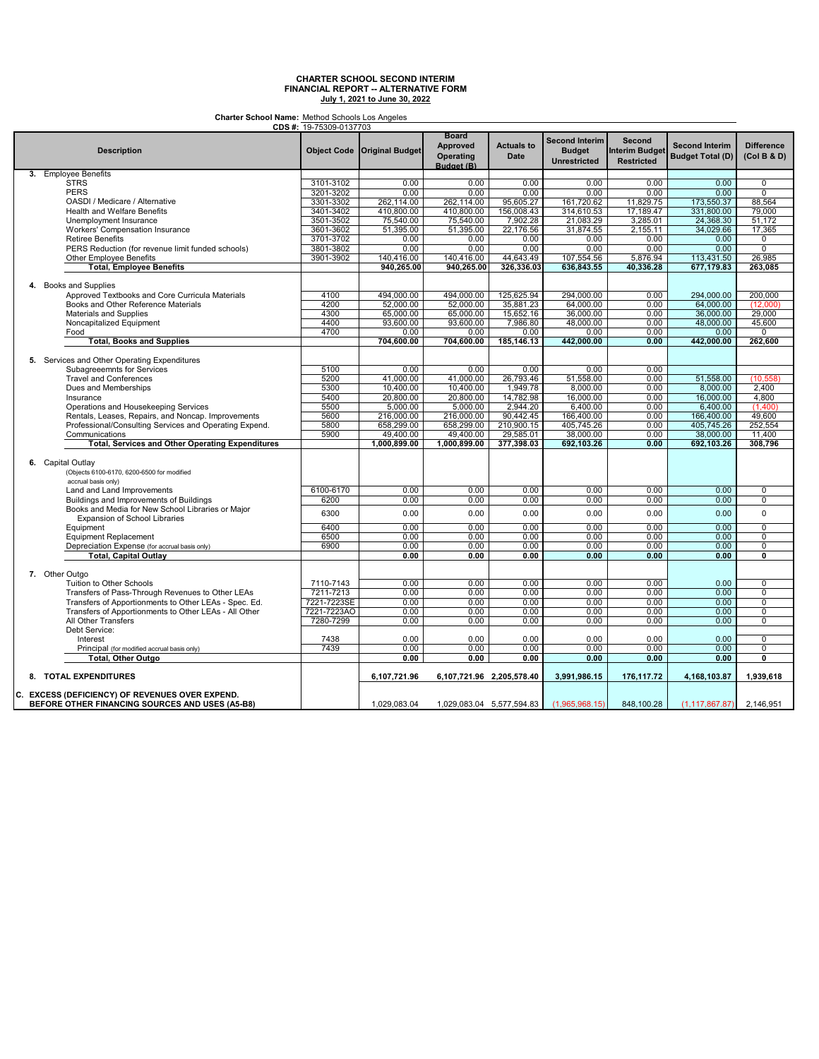**Charter School Name:** Method Schools Los Angeles

| <b>CDS #:</b> 19-75309-0137703                          |             |                               |                                                            |                                  |                                                               |                                                             |                                                  |                                  |
|---------------------------------------------------------|-------------|-------------------------------|------------------------------------------------------------|----------------------------------|---------------------------------------------------------------|-------------------------------------------------------------|--------------------------------------------------|----------------------------------|
| <b>Description</b>                                      |             | Object Code   Original Budget | <b>Board</b><br>Approved<br><b>Operating</b><br>Budget (B) | <b>Actuals to</b><br><b>Date</b> | <b>Second Interim</b><br><b>Budget</b><br><b>Unrestricted</b> | <b>Second</b><br><b>Interim Budget</b><br><b>Restricted</b> | <b>Second Interim</b><br><b>Budget Total (D)</b> | <b>Difference</b><br>(Col B & D) |
| 3. Employee Benefits                                    |             |                               |                                                            |                                  |                                                               |                                                             |                                                  |                                  |
| <b>STRS</b>                                             | 3101-3102   | 0.00                          | 0.00                                                       | 0.00                             | 0.00                                                          | 0.00                                                        | 0.00                                             | $\overline{0}$                   |
| <b>PERS</b>                                             | 3201-3202   | 0.00                          | 0.00                                                       | 0.00                             | 0.00                                                          | 0.00                                                        | 0.00                                             | $\overline{0}$                   |
| OASDI / Medicare / Alternative                          | 3301-3302   | 262,114.00                    | 262,114.00                                                 | 95,605.27                        | 161,720.62                                                    | 11,829.75                                                   | 173,550.37                                       | 88,564                           |
| <b>Health and Welfare Benefits</b>                      | 3401-3402   | 410,800.00                    | 410,800.00                                                 | 156,008.43                       | 314,610.53                                                    | 17,189.47                                                   | 331,800.00                                       | 79.000                           |
|                                                         |             |                               |                                                            |                                  |                                                               |                                                             |                                                  |                                  |
| Unemployment Insurance                                  | 3501-3502   | 75,540.00                     | 75,540.00                                                  | 7,902.28                         | 21,083.29                                                     | 3,285.01                                                    | 24,368.30                                        | 51,172                           |
| Workers' Compensation Insurance                         | 3601-3602   | 51,395.00                     | 51,395.00                                                  | 22,176.56                        | 31,874.55                                                     | 2,155.11                                                    | 34,029.66                                        | 17,365                           |
| <b>Retiree Benefits</b>                                 | 3701-3702   | 0.00                          | 0.00                                                       | 0.00                             | 0.00                                                          | 0.00                                                        | 0.00                                             | 0                                |
| PERS Reduction (for revenue limit funded schools)       | 3801-3802   | 0.00                          | 0.00                                                       | 0.00                             | 0.00                                                          | 0.00                                                        | 0.00                                             | $\overline{0}$                   |
| Other Employee Benefits                                 | 3901-3902   | 140,416.00                    | 140,416.00                                                 | 44,643.49                        | 107,554.56                                                    | 5,876.94                                                    | 113,431.50                                       | 26,985                           |
| <b>Total, Employee Benefits</b>                         |             | 940,265.00                    | 940.265.00                                                 | 326,336.03                       | 636.843.55                                                    | 40,336.28                                                   | 677,179.83                                       | 263,085                          |
| 4. Books and Supplies                                   |             |                               |                                                            |                                  |                                                               |                                                             |                                                  |                                  |
| Approved Textbooks and Core Curricula Materials         | 4100        | 494,000.00                    | 494,000.00                                                 | 125,625.94                       | 294,000.00                                                    | 0.00                                                        | 294,000.00                                       | 200,000                          |
| Books and Other Reference Materials                     | 4200        | 52.000.00                     | 52,000.00                                                  | 35,881.23                        | 64.000.00                                                     | 0.00                                                        | 64.000.00                                        | (12,000)                         |
|                                                         |             |                               |                                                            |                                  |                                                               |                                                             |                                                  | 29.000                           |
| Materials and Supplies                                  | 4300        | 65,000.00                     | 65,000.00                                                  | 15,652.16                        | 36,000.00                                                     | 0.00                                                        | 36,000.00                                        |                                  |
| Noncapitalized Equipment                                | 4400        | 93,600.00                     | 93,600.00                                                  | 7,986.80                         | 48,000.00                                                     | 0.00                                                        | 48,000.00                                        | 45,600                           |
| Food                                                    | 4700        | 0.00                          | 0.00                                                       | 0.00                             | 0.00                                                          | 0.00                                                        | 0.00                                             | $\mathbf 0$                      |
| <b>Total, Books and Supplies</b>                        |             | 704,600.00                    | 704,600.00                                                 | 185,146.13                       | 442,000.00                                                    | 0.00                                                        | 442,000.00                                       | 262,600                          |
| 5. Services and Other Operating Expenditures            |             |                               |                                                            |                                  |                                                               |                                                             |                                                  |                                  |
| Subagreeemnts for Services                              | 5100        | 0.00                          | 0.00                                                       | 0.00                             | 0.00                                                          | 0.00                                                        |                                                  |                                  |
| <b>Travel and Conferences</b>                           | 5200        | 41,000.00                     | 41,000.00                                                  | 26,793.46                        | 51,558.00                                                     | 0.00                                                        | 51,558.00                                        | (10, 558)                        |
| Dues and Memberships                                    | 5300        | 10.400.00                     | 10.400.00                                                  | 1.949.78                         | 8.000.00                                                      | 0.00                                                        | 8.000.00                                         | 2.400                            |
| Insurance                                               | 5400        | 20,800.00                     | 20,800.00                                                  | 14,782.98                        | 16,000.00                                                     | 0.00                                                        | 16,000.00                                        | 4,800                            |
|                                                         |             |                               |                                                            |                                  |                                                               |                                                             |                                                  |                                  |
| Operations and Housekeeping Services                    | 5500        | 5,000.00                      | 5,000.00                                                   | 2,944.20                         | 6,400.00                                                      | 0.00                                                        | 6,400.00                                         | (1.400)                          |
| Rentals, Leases, Repairs, and Noncap. Improvements      | 5600        | 216,000.00                    | 216,000.00                                                 | 90,442.45                        | 166,400.00                                                    | 0.00                                                        | 166,400.00                                       | 49,600                           |
| Professional/Consulting Services and Operating Expend.  | 5800        | 658,299.00                    | 658,299.00                                                 | 210.900.15                       | 405,745.26                                                    | 0.00                                                        | 405,745.26                                       | 252,554                          |
| Communications                                          | 5900        | 49,400.00                     | 49,400.00                                                  | 29,585.01                        | 38,000.00                                                     | 0.00                                                        | 38,000.00                                        | 11,400                           |
| <b>Total, Services and Other Operating Expenditures</b> |             | 1,000,899.00                  | 1,000,899.00                                               | 377,398.03                       | 692,103.26                                                    | 0.00                                                        | 692,103.26                                       | 308,796                          |
|                                                         |             |                               |                                                            |                                  |                                                               |                                                             |                                                  |                                  |
| 6. Capital Outlay                                       |             |                               |                                                            |                                  |                                                               |                                                             |                                                  |                                  |
| (Objects 6100-6170, 6200-6500 for modified              |             |                               |                                                            |                                  |                                                               |                                                             |                                                  |                                  |
| accrual basis only)                                     |             |                               |                                                            |                                  |                                                               |                                                             |                                                  |                                  |
| Land and Land Improvements                              | 6100-6170   | 0.00                          | 0.00                                                       | 0.00                             | 0.00                                                          | 0.00                                                        | 0.00                                             | $\overline{0}$                   |
| Buildings and Improvements of Buildings                 | 6200        | 0.00                          | 0.00                                                       | 0.00                             | 0.00                                                          | 0.00                                                        | 0.00                                             | $\mathbf 0$                      |
| Books and Media for New School Libraries or Major       |             |                               |                                                            |                                  |                                                               |                                                             |                                                  |                                  |
| <b>Expansion of School Libraries</b>                    | 6300        | 0.00                          | 0.00                                                       | 0.00                             | 0.00                                                          | 0.00                                                        | 0.00                                             | $\mathbf 0$                      |
| Equipment                                               | 6400        | 0.00                          | 0.00                                                       | 0.00                             | 0.00                                                          | 0.00                                                        | 0.00                                             | 0                                |
| Equipment Replacement                                   | 6500        | 0.00                          | 0.00                                                       | 0.00                             | 0.00                                                          | 0.00                                                        | 0.00                                             | $\overline{0}$                   |
| Depreciation Expense (for accrual basis only)           | 6900        | 0.00                          | 0.00                                                       | 0.00                             | 0.00                                                          | 0.00                                                        | 0.00                                             | $\overline{0}$                   |
| <b>Total, Capital Outlay</b>                            |             | 0.00                          | 0.00                                                       | 0.00                             | 0.00                                                          | 0.00                                                        | 0.00                                             | Ō                                |
| 7. Other Outgo                                          |             |                               |                                                            |                                  |                                                               |                                                             |                                                  |                                  |
| Tuition to Other Schools                                |             | 0.00                          | 0.00                                                       | 0.00                             | 0.00                                                          | 0.00                                                        | 0.00                                             | 0                                |
|                                                         | 7110-7143   |                               |                                                            |                                  |                                                               |                                                             |                                                  |                                  |
| Transfers of Pass-Through Revenues to Other LEAs        | 7211-7213   | 0.00                          | 0.00                                                       | 0.00                             | 0.00                                                          | 0.00                                                        | 0.00                                             | $\overline{0}$                   |
| Transfers of Apportionments to Other LEAs - Spec. Ed.   | 7221-7223SE | 0.00                          | 0.00                                                       | 0.00                             | 0.00                                                          | 0.00                                                        | 0.00                                             | $\overline{0}$                   |
| Transfers of Apportionments to Other LEAs - All Other   | 7221-7223AO | 0.00                          | 0.00                                                       | 0.00                             | 0.00                                                          | 0.00                                                        | 0.00                                             | 0                                |
| All Other Transfers                                     | 7280-7299   | 0.00                          | 0.00                                                       | 0.00                             | 0.00                                                          | 0.00                                                        | 0.00                                             | $\overline{0}$                   |
| Debt Service:                                           |             |                               |                                                            |                                  |                                                               |                                                             |                                                  |                                  |
| Interest                                                | 7438        | 0.00                          | 0.00                                                       | 0.00                             | 0.00                                                          | 0.00                                                        | 0.00                                             | $\mathbf 0$                      |
| Principal (for modified accrual basis only)             | 7439        | 0.00                          | 0.00                                                       | 0.00                             | 0.00                                                          | 0.00                                                        | 0.00                                             | 0                                |
| <b>Total, Other Outgo</b>                               |             | 0.00                          | 0.00                                                       | 0.00                             | 0.00                                                          | 0.00                                                        | 0.00                                             | Ō                                |
|                                                         |             |                               |                                                            |                                  |                                                               |                                                             |                                                  |                                  |
| 8. TOTAL EXPENDITURES                                   |             | 6,107,721.96                  | 6,107,721.96 2,205,578.40                                  |                                  | 3,991,986.15                                                  | 176,117.72                                                  | 4,168,103.87                                     | 1,939,618                        |
| C. EXCESS (DEFICIENCY) OF REVENUES OVER EXPEND.         |             |                               |                                                            |                                  |                                                               |                                                             |                                                  |                                  |
| BEFORE OTHER FINANCING SOURCES AND USES (A5-B8)         |             | 1,029,083.04                  |                                                            | 1,029,083.04 5,577,594.83        | (1,965,968.15)                                                | 848,100.28                                                  | (1, 117, 867.87)                                 | 2,146,951                        |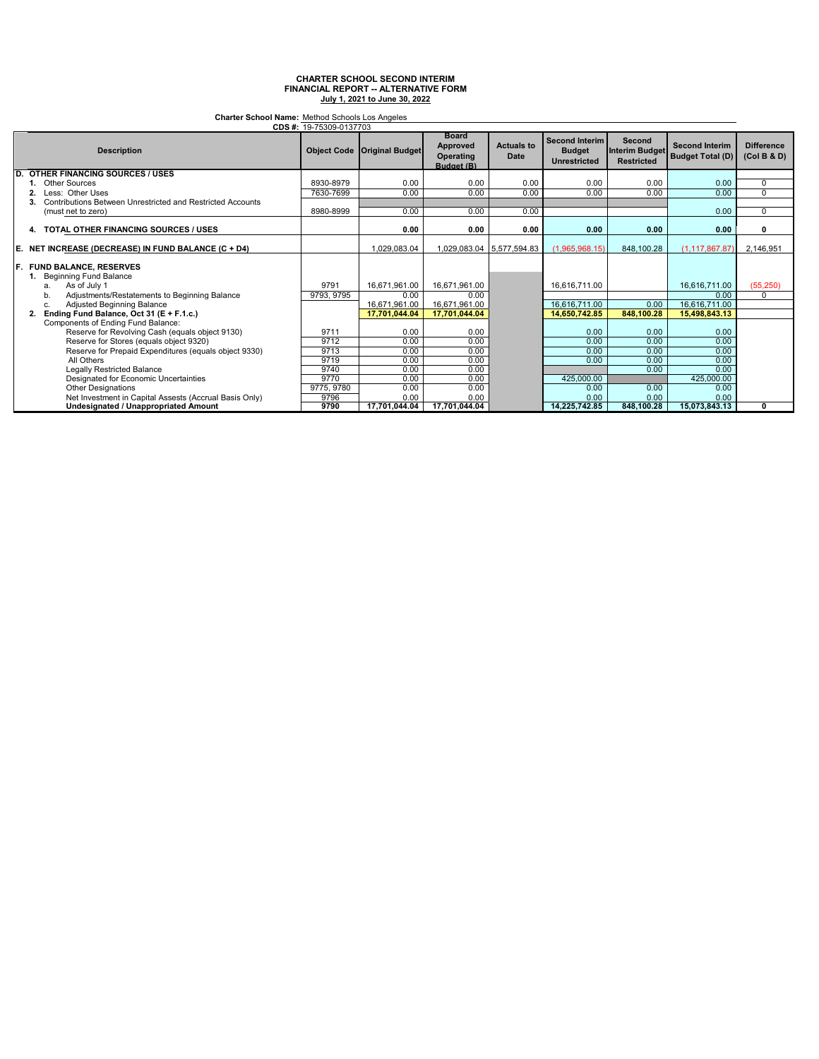**Charter School Name:** Method Schools Los Angeles

|    | CDS #: 19-75309-0137703                                    |            |                                      |                                                            |                           |                                                               |                                                      |                                                  |                                  |
|----|------------------------------------------------------------|------------|--------------------------------------|------------------------------------------------------------|---------------------------|---------------------------------------------------------------|------------------------------------------------------|--------------------------------------------------|----------------------------------|
|    | <b>Description</b>                                         |            | <b>Object Code   Original Budget</b> | <b>Board</b><br><b>Approved</b><br>Operating<br>Budget (B) | <b>Actuals to</b><br>Date | <b>Second Interim</b><br><b>Budget</b><br><b>Unrestricted</b> | Second<br><b>Interim Budget</b><br><b>Restricted</b> | <b>Second Interim</b><br><b>Budget Total (D)</b> | <b>Difference</b><br>(Col B & D) |
| D. | <b>OTHER FINANCING SOURCES / USES</b>                      |            |                                      |                                                            |                           |                                                               |                                                      |                                                  |                                  |
|    | <b>Other Sources</b>                                       | 8930-8979  | 0.00                                 | 0.00                                                       | 0.00                      | 0.00                                                          | 0.00                                                 | 0.00                                             | $\mathbf 0$                      |
|    | Less: Other Uses                                           | 7630-7699  | 0.00                                 | 0.00                                                       | 0.00                      | 0.00                                                          | 0.00                                                 | 0.00                                             | 0                                |
|    | Contributions Between Unrestricted and Restricted Accounts |            |                                      |                                                            |                           |                                                               |                                                      |                                                  |                                  |
|    | (must net to zero)                                         | 8980-8999  | 0.00                                 | 0.00                                                       | 0.00                      |                                                               |                                                      | 0.00                                             | $\mathbf 0$                      |
|    | 4. TOTAL OTHER FINANCING SOURCES / USES                    |            | 0.00                                 | 0.00                                                       | 0.00                      | 0.00                                                          | 0.00                                                 | 0.00                                             | 0                                |
| E. | NET INCREASE (DECREASE) IN FUND BALANCE (C + D4)           |            | 1,029,083.04                         |                                                            | 1,029,083.04 5,577,594.83 | (1,965,968.15)                                                | 848,100.28                                           | (1, 117, 867.87)                                 | 2,146,951                        |
| F. | <b>FUND BALANCE, RESERVES</b><br>1. Beginning Fund Balance |            |                                      |                                                            |                           |                                                               |                                                      |                                                  |                                  |
|    | As of July 1<br>a.                                         | 9791       | 16,671,961.00                        | 16,671,961.00                                              |                           | 16,616,711.00                                                 |                                                      | 16,616,711.00                                    | (55, 250)                        |
|    | Adjustments/Restatements to Beginning Balance<br>b.        | 9793, 9795 | 0.00                                 | 0.00                                                       |                           |                                                               |                                                      | 0.00                                             | $\Omega$                         |
|    | Adjusted Beginning Balance<br>c.                           |            | 16,671,961.00                        | 16,671,961.00                                              |                           | 16,616,711.00                                                 | 0.00                                                 | 16,616,711.00                                    |                                  |
|    | Ending Fund Balance, Oct 31 (E + F.1.c.)                   |            | 17,701,044.04                        | 17,701,044.04                                              |                           | 14.650.742.85                                                 | 848.100.28                                           | 15,498,843.13                                    |                                  |
|    | Components of Ending Fund Balance:                         |            |                                      |                                                            |                           |                                                               |                                                      |                                                  |                                  |
|    | Reserve for Revolving Cash (equals object 9130)            | 9711       | 0.00                                 | 0.00                                                       |                           | 0.00                                                          | 0.00                                                 | 0.00                                             |                                  |
|    | Reserve for Stores (equals object 9320)                    | 9712       | 0.00                                 | 0.00                                                       |                           | 0.00                                                          | 0.00                                                 | 0.00                                             |                                  |
|    | Reserve for Prepaid Expenditures (equals object 9330)      | 9713       | 0.00                                 | 0.00                                                       |                           | 0.00                                                          | 0.00                                                 | 0.00                                             |                                  |
|    | All Others                                                 | 9719       | 0.00                                 | 0.00                                                       |                           | 0.00                                                          | 0.00                                                 | 0.00                                             |                                  |
|    | Legally Restricted Balance                                 | 9740       | 0.00                                 | 0.00                                                       |                           |                                                               | 0.00                                                 | 0.00                                             |                                  |
|    | Designated for Economic Uncertainties                      | 9770       | 0.00                                 | 0.00                                                       |                           | 425,000.00                                                    |                                                      | 425,000.00                                       |                                  |
|    | <b>Other Designations</b>                                  | 9775, 9780 | 0.00                                 | 0.00                                                       |                           | 0.00                                                          | 0.00                                                 | 0.00                                             |                                  |
|    | Net Investment in Capital Assests (Accrual Basis Only)     | 9796       | 0.00                                 | 0.00                                                       |                           | 0.00                                                          | 0.00                                                 | 0.00                                             |                                  |
|    | Undesignated / Unappropriated Amount                       | 9790       | 17.701.044.04                        | 17.701.044.04                                              |                           | 14,225,742.85                                                 | 848.100.28                                           | 15,073,843.13                                    | 0                                |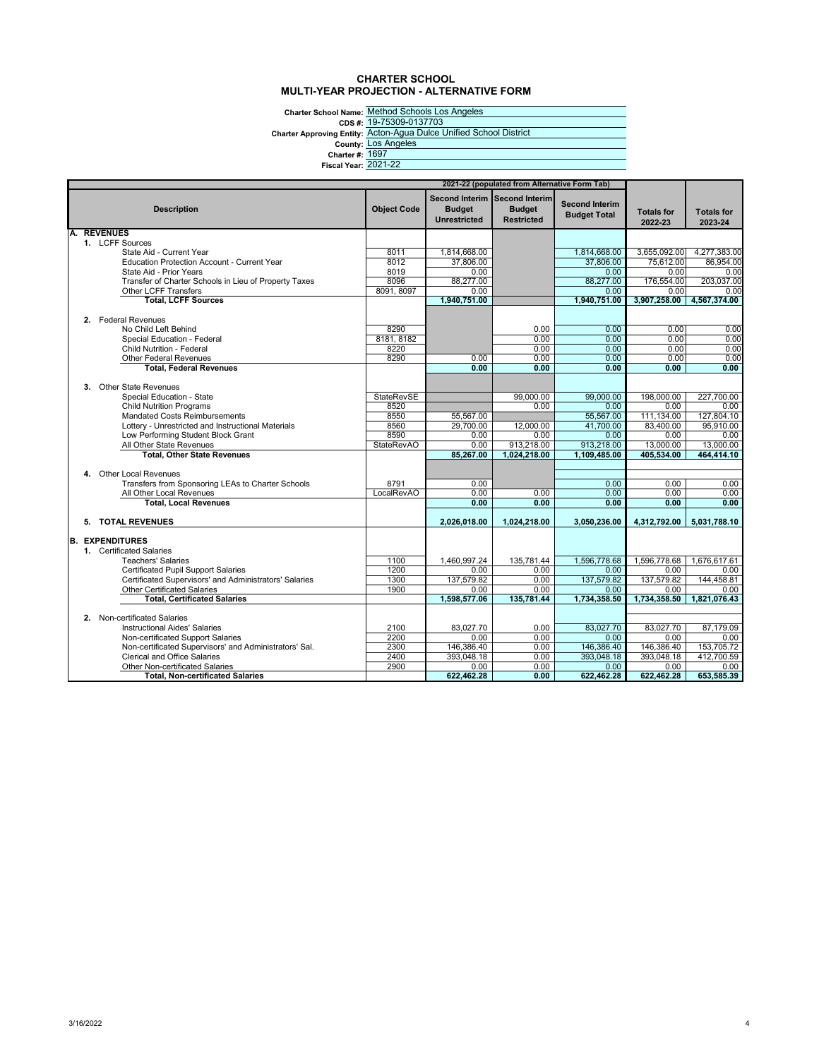#### **CHARTER SCHOOL MULTI-YEAR PROJECTION - ALTERNATIVE FORM**

**Charter School Name: CDS #: Charter Approving Entity: County: Charter #: Fiscal Year:** 2021-22

Method Schools Los Angeles 19-75309-0137703 Acton-Agua Dulce Unified School District Los Angeles 1697

|                                                                                             |                    |                                                                       | 2021-22 (populated from Alternative Form Tab) |                                              |                              |                              |
|---------------------------------------------------------------------------------------------|--------------------|-----------------------------------------------------------------------|-----------------------------------------------|----------------------------------------------|------------------------------|------------------------------|
| <b>Description</b>                                                                          | <b>Object Code</b> | Second Interim Second Interim<br><b>Budget</b><br><b>Unrestricted</b> | <b>Budget</b><br><b>Restricted</b>            | <b>Second Interim</b><br><b>Budget Total</b> | <b>Totals for</b><br>2022-23 | <b>Totals for</b><br>2023-24 |
| A. REVENUES                                                                                 |                    |                                                                       |                                               |                                              |                              |                              |
| 1. LCFF Sources<br>State Aid - Current Year                                                 | 8011               |                                                                       |                                               | 1.814.668.00                                 |                              |                              |
| <b>Education Protection Account - Current Year</b>                                          | 8012               | 1,814,668.00<br>37,806.00                                             |                                               | 37.806.00                                    | 3,655,092.00<br>75.612.00    | 4,277,383.00<br>86.954.00    |
| State Aid - Prior Years                                                                     | 8019               | 0.00                                                                  |                                               | 0.00                                         | 0.00                         | 0.00                         |
| Transfer of Charter Schools in Lieu of Property Taxes                                       | 8096               | 88,277.00                                                             |                                               | 88,277.00                                    | 176,554.00                   | 203,037.00                   |
| Other LCFF Transfers                                                                        | 8091, 8097         | 0.00                                                                  |                                               | 0.00                                         | 0.00                         | 0.00                         |
| <b>Total, LCFF Sources</b>                                                                  |                    | 1,940,751.00                                                          |                                               | 1,940,751.00                                 | 3.907.258.00                 | 4,567,374.00                 |
|                                                                                             |                    |                                                                       |                                               |                                              |                              |                              |
| 2. Federal Revenues                                                                         |                    |                                                                       |                                               |                                              |                              |                              |
| No Child Left Behind                                                                        | 8290               |                                                                       | 0.00                                          | 0.00                                         | 0.00                         | 0.00                         |
| Special Education - Federal                                                                 | 8181, 8182         |                                                                       | 0.00                                          | 0.00                                         | 0.00                         | 0.00                         |
| <b>Child Nutrition - Federal</b>                                                            | 8220               |                                                                       | 0.00                                          | 0.00                                         | 0.00                         | 0.00                         |
| <b>Other Federal Revenues</b>                                                               | 8290               | 0.00                                                                  | 0.00                                          | 0.00                                         | 0.00                         | 0.00                         |
| <b>Total, Federal Revenues</b>                                                              |                    | 0.00                                                                  | 0.00                                          | 0.00                                         | 0.00                         | 0.00                         |
|                                                                                             |                    |                                                                       |                                               |                                              |                              |                              |
| 3. Other State Revenues                                                                     |                    |                                                                       |                                               |                                              |                              |                              |
| Special Education - State                                                                   | StateRevSE         |                                                                       | 99,000.00                                     | 99,000.00                                    | 198,000.00                   | 227,700.00                   |
| <b>Child Nutrition Programs</b>                                                             | 8520               |                                                                       | 0.00                                          | 0.00                                         | 0.00                         | 0.00                         |
| <b>Mandated Costs Reimbursements</b>                                                        | 8550               | 55,567.00                                                             |                                               | 55,567.00                                    | 111,134.00                   | 127,804.10                   |
| Lottery - Unrestricted and Instructional Materials                                          | 8560               | 29,700.00                                                             | 12.000.00                                     | 41.700.00                                    | 83.400.00                    | 95.910.00                    |
| Low Performing Student Block Grant                                                          | 8590               | 0.00                                                                  | 0.00                                          | 0.00                                         | 0.00                         | 0.00                         |
| All Other State Revenues                                                                    | <b>StateRevAO</b>  | 0.00                                                                  | 913,218.00                                    | 913,218.00                                   | 13,000.00                    | 13,000.00                    |
| <b>Total, Other State Revenues</b>                                                          |                    | 85,267.00                                                             | 1,024,218.00                                  | 1.109.485.00                                 | 405,534.00                   | 464,414.10                   |
|                                                                                             |                    |                                                                       |                                               |                                              |                              |                              |
| 4. Other Local Revenues                                                                     |                    |                                                                       |                                               |                                              |                              |                              |
| Transfers from Sponsoring LEAs to Charter Schools                                           | 8791               | 0.00                                                                  |                                               | 0.00                                         | 0.00                         | 0.00                         |
| All Other Local Revenues                                                                    | LocalRevAO         | 0.00<br>0.00                                                          | 0.00<br>0.00                                  | 0.00<br>0.00                                 | 0.00<br>0.00                 | 0.00<br>0.00                 |
| <b>Total, Local Revenues</b>                                                                |                    |                                                                       |                                               |                                              |                              |                              |
| 5. TOTAL REVENUES                                                                           |                    | 2,026,018.00                                                          | 1,024,218.00                                  | 3.050.236.00                                 | 4,312,792.00                 | 5.031.788.10                 |
|                                                                                             |                    |                                                                       |                                               |                                              |                              |                              |
| <b>B. EXPENDITURES</b>                                                                      |                    |                                                                       |                                               |                                              |                              |                              |
| 1. Certificated Salaries                                                                    |                    |                                                                       |                                               |                                              |                              |                              |
| <b>Teachers' Salaries</b>                                                                   | 1100               | 1.460.997.24                                                          | 135.781.44                                    | 1.596.778.68                                 | 1.596.778.68                 | 1,676,617.61                 |
| <b>Certificated Pupil Support Salaries</b>                                                  | 1200               | 0.00                                                                  | 0.00                                          | 0.00                                         | 0.00                         | 0.00                         |
| Certificated Supervisors' and Administrators' Salaries                                      | 1300               | 137,579.82                                                            | 0.00                                          | 137.579.82                                   | 137.579.82                   | 144.458.81                   |
| <b>Other Certificated Salaries</b>                                                          | 1900               | 0.00                                                                  | 0.00                                          | 0.00                                         | 0.00                         | 0.00                         |
| <b>Total, Certificated Salaries</b>                                                         |                    | 1,598,577.06                                                          | 135,781.44                                    | 1,734,358.50                                 | 1,734,358.50                 | 1,821,076.43                 |
|                                                                                             |                    |                                                                       |                                               |                                              |                              |                              |
| 2. Non-certificated Salaries<br><b>Instructional Aides' Salaries</b>                        | 2100               | 83.027.70                                                             | 0.00                                          | 83.027.70                                    | 83.027.70                    | 87.179.09                    |
|                                                                                             | 2200               | 0.00                                                                  | 0.00                                          | 0.00                                         | 0.00                         | 0.00                         |
| Non-certificated Support Salaries<br>Non-certificated Supervisors' and Administrators' Sal. | 2300               | 146,386.40                                                            | 0.00                                          | 146.386.40                                   | 146,386.40                   | 153,705.72                   |
| <b>Clerical and Office Salaries</b>                                                         | 2400               | 393.048.18                                                            | 0.00                                          | 393,048.18                                   | 393,048.18                   | 412.700.59                   |
|                                                                                             |                    | 0.00                                                                  |                                               | 0.00                                         |                              |                              |
| Other Non-certificated Salaries<br><b>Total, Non-certificated Salaries</b>                  | 2900               | 622,462.28                                                            | 0.00<br>0.00                                  | 622,462.28                                   | 0.00<br>622,462.28           | 0.00<br>653,585.39           |
|                                                                                             |                    |                                                                       |                                               |                                              |                              |                              |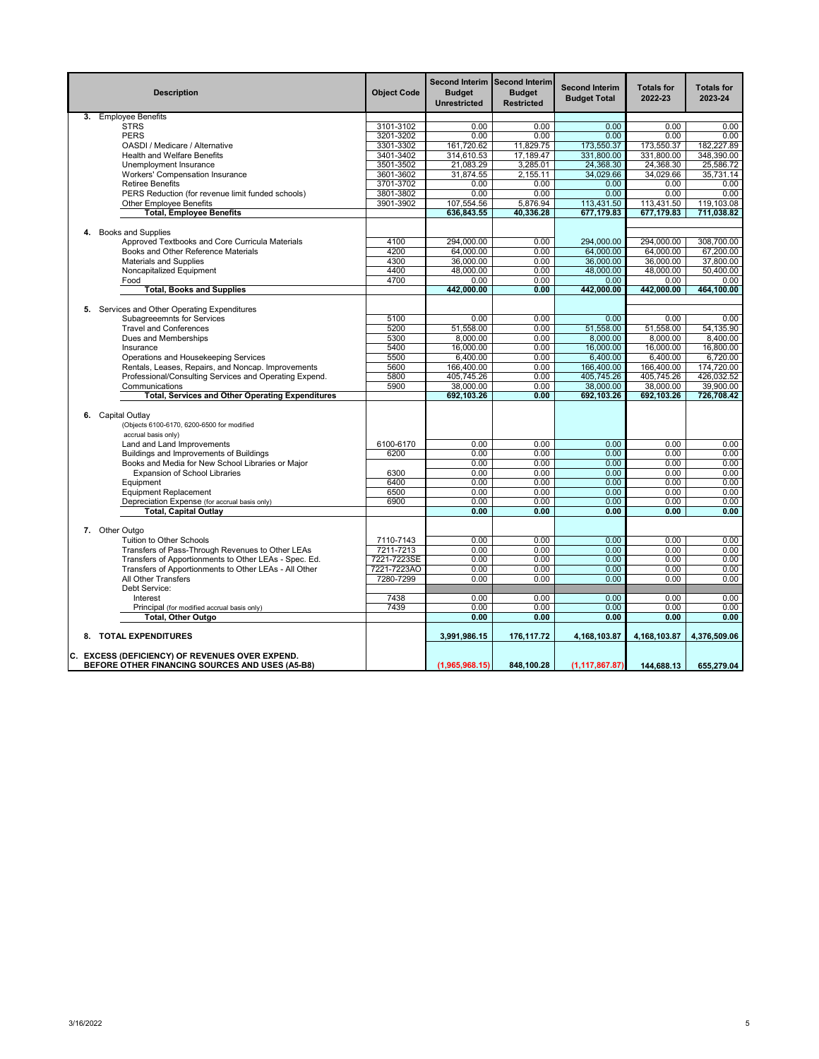|    | <b>Description</b>                                                         | <b>Object Code</b> | <b>Second Interim</b><br><b>Budget</b><br><b>Unrestricted</b> | Second Interim<br><b>Budget</b><br><b>Restricted</b> | <b>Second Interim</b><br><b>Budget Total</b> | <b>Totals for</b><br>2022-23 | <b>Totals for</b><br>2023-24 |
|----|----------------------------------------------------------------------------|--------------------|---------------------------------------------------------------|------------------------------------------------------|----------------------------------------------|------------------------------|------------------------------|
|    | 3. Employee Benefits                                                       |                    |                                                               |                                                      |                                              |                              |                              |
|    | <b>STRS</b>                                                                | 3101-3102          | 0.00                                                          | 0.00                                                 | 0.00                                         | 0.00                         | 0.00                         |
|    | <b>PERS</b>                                                                | 3201-3202          | 0.00                                                          | 0.00                                                 | 0.00                                         | 0.00                         | 0.00                         |
|    | OASDI / Medicare / Alternative                                             | 3301-3302          | 161,720.62                                                    | 11,829.75                                            | 173,550.37                                   | 173,550.37                   | 182,227.89                   |
|    | Health and Welfare Benefits                                                | 3401-3402          | 314,610.53                                                    | 17,189.47                                            | 331,800.00                                   | 331,800.00                   | 348,390.00                   |
|    | Unemployment Insurance                                                     | 3501-3502          | 21,083.29                                                     | 3,285.01                                             | 24,368.30                                    | 24,368.30                    | 25,586.72                    |
|    | Workers' Compensation Insurance                                            | 3601-3602          | 31,874.55                                                     | 2,155.11                                             | 34,029.66                                    | 34,029.66                    | 35.731.14                    |
|    | <b>Retiree Benefits</b>                                                    | 3701-3702          | 0.00                                                          | 0.00                                                 | 0.00                                         | 0.00                         | 0.00                         |
|    | PERS Reduction (for revenue limit funded schools)                          | 3801-3802          | 0.00                                                          | 0.00                                                 | 0.00                                         | 0.00                         | 0.00                         |
|    | <b>Other Employee Benefits</b>                                             | 3901-3902          | 107,554.56                                                    | 5.876.94                                             | 113,431.50                                   | 113,431.50                   | 119,103.08                   |
|    | <b>Total, Employee Benefits</b>                                            |                    | 636,843.55                                                    | 40,336.28                                            | 677,179.83                                   | 677,179.83                   | 711,038.82                   |
| 4. | <b>Books and Supplies</b>                                                  |                    |                                                               |                                                      |                                              |                              |                              |
|    | Approved Textbooks and Core Curricula Materials                            | 4100               | 294,000.00                                                    | 0.00                                                 | 294,000.00                                   | 294,000.00                   | 308,700.00                   |
|    | Books and Other Reference Materials                                        | 4200               | 64,000.00                                                     | 0.00                                                 | 64,000.00                                    | 64,000.00                    | 67.200.00                    |
|    | Materials and Supplies                                                     | 4300               | 36,000.00                                                     | 0.00                                                 | 36,000.00                                    | 36,000.00                    | 37,800.00                    |
|    | Noncapitalized Equipment                                                   | 4400               | 48,000.00                                                     | 0.00                                                 | 48,000.00                                    | 48,000.00                    | 50,400.00                    |
|    | Food                                                                       | 4700               | 0.00                                                          | 0.00                                                 | 0.00                                         | 0.00                         | 0.00                         |
|    | <b>Total, Books and Supplies</b>                                           |                    | 442,000.00                                                    | 0.00                                                 | 442,000.00                                   | 442,000.00                   | 464,100.00                   |
|    |                                                                            |                    |                                                               |                                                      |                                              |                              |                              |
|    | 5. Services and Other Operating Expenditures<br>Subagreeemnts for Services | 5100               | 0.00                                                          | 0.00                                                 | 0.00                                         | 0.00                         | 0.00                         |
|    | <b>Travel and Conferences</b>                                              | 5200               | 51,558.00                                                     | 0.00                                                 | 51,558.00                                    | 51,558.00                    | 54,135.90                    |
|    | Dues and Memberships                                                       | 5300               | 8,000.00                                                      | 0.00                                                 | 8,000.00                                     | 8.000.00                     | 8,400.00                     |
|    | Insurance                                                                  | 5400               | 16.000.00                                                     | 0.00                                                 | 16,000.00                                    | 16,000.00                    | 16,800.00                    |
|    | Operations and Housekeeping Services                                       | 5500               | 6.400.00                                                      | 0.00                                                 | 6,400.00                                     | 6,400.00                     | 6,720.00                     |
|    | Rentals, Leases, Repairs, and Noncap. Improvements                         | 5600               | 166,400.00                                                    | 0.00                                                 | 166,400.00                                   | 166,400.00                   | 174,720.00                   |
|    | Professional/Consulting Services and Operating Expend.                     | 5800               | 405,745.26                                                    | 0.00                                                 | 405.745.26                                   | 405,745.26                   | 426.032.52                   |
|    | Communications                                                             | 5900               | 38,000.00                                                     | 0.00                                                 | 38,000.00                                    | 38,000.00                    | 39.900.00                    |
|    | <b>Total, Services and Other Operating Expenditures</b>                    |                    | 692,103.26                                                    | 0.00                                                 | 692,103.26                                   | 692,103.26                   | 726,708.42                   |
|    |                                                                            |                    |                                                               |                                                      |                                              |                              |                              |
|    | 6. Capital Outlay                                                          |                    |                                                               |                                                      |                                              |                              |                              |
|    | (Objects 6100-6170, 6200-6500 for modified                                 |                    |                                                               |                                                      |                                              |                              |                              |
|    | accrual basis only)                                                        |                    |                                                               |                                                      |                                              |                              |                              |
|    | Land and Land Improvements                                                 | 6100-6170          | 0.00                                                          | 0.00                                                 | 0.00                                         | 0.00                         | 0.00                         |
|    | Buildings and Improvements of Buildings                                    | 6200               | 0.00                                                          | 0.00                                                 | 0.00                                         | 0.00                         | 0.00                         |
|    | Books and Media for New School Libraries or Major                          |                    | 0.00                                                          | 0.00                                                 | 0.00                                         | 0.00                         | 0.00                         |
|    | <b>Expansion of School Libraries</b>                                       | 6300               | 0.00                                                          | 0.00                                                 | 0.00                                         | 0.00                         | 0.00                         |
|    | Equipment                                                                  | 6400               | 0.00                                                          | 0.00                                                 | 0.00                                         | 0.00                         | 0.00                         |
|    | <b>Equipment Replacement</b>                                               | 6500               | 0.00                                                          | 0.00                                                 | 0.00                                         | 0.00                         | 0.00                         |
|    | Depreciation Expense (for accrual basis only)                              | 6900               | 0.00<br>0.00                                                  | 0.00<br>0.00                                         | 0.00<br>0.00                                 | 0.00<br>0.00                 | 0.00<br>0.00                 |
|    | <b>Total, Capital Outlay</b>                                               |                    |                                                               |                                                      |                                              |                              |                              |
|    | 7. Other Outgo                                                             |                    |                                                               |                                                      |                                              |                              |                              |
|    | Tuition to Other Schools                                                   | 7110-7143          | 0.00                                                          | 0.00                                                 | 0.00                                         | 0.00                         | 0.00                         |
|    | Transfers of Pass-Through Revenues to Other LEAs                           | 7211-7213          | 0.00                                                          | 0.00                                                 | 0.00                                         | 0.00                         | 0.00                         |
|    | Transfers of Apportionments to Other LEAs - Spec. Ed.                      | 7221-7223SE        | 0.00                                                          | 0.00                                                 | 0.00                                         | 0.00                         | 0.00                         |
|    | Transfers of Apportionments to Other LEAs - All Other                      | 7221-7223AO        | 0.00                                                          | 0.00                                                 | 0.00                                         | 0.00                         | 0.00                         |
|    | All Other Transfers                                                        | 7280-7299          | 0.00                                                          | 0.00                                                 | 0.00                                         | 0.00                         | 0.00                         |
|    | Debt Service:                                                              |                    |                                                               |                                                      |                                              |                              |                              |
|    | Interest                                                                   | 7438               | 0.00                                                          | 0.00                                                 | 0.00                                         | 0.00                         | 0.00                         |
|    | Principal (for modified accrual basis only)                                | 7439               | 0.00                                                          | 0.00                                                 | 0.00                                         | 0.00                         | 0.00                         |
|    | Total, Other Outgo                                                         |                    | 0.00                                                          | 0.00                                                 | 0.00                                         | 0.00                         | 0.00                         |
|    | 8. TOTAL EXPENDITURES                                                      |                    | 3,991,986.15                                                  | 176, 117. 72                                         | 4,168,103.87                                 | 4,168,103.87                 | 4,376,509.06                 |
|    | C. EXCESS (DEFICIENCY) OF REVENUES OVER EXPEND.                            |                    |                                                               |                                                      |                                              |                              |                              |
|    | BEFORE OTHER FINANCING SOURCES AND USES (A5-B8)                            |                    | (1,965,968.15)                                                | 848,100.28                                           | (1, 117, 867.87)                             | 144,688.13                   | 655,279.04                   |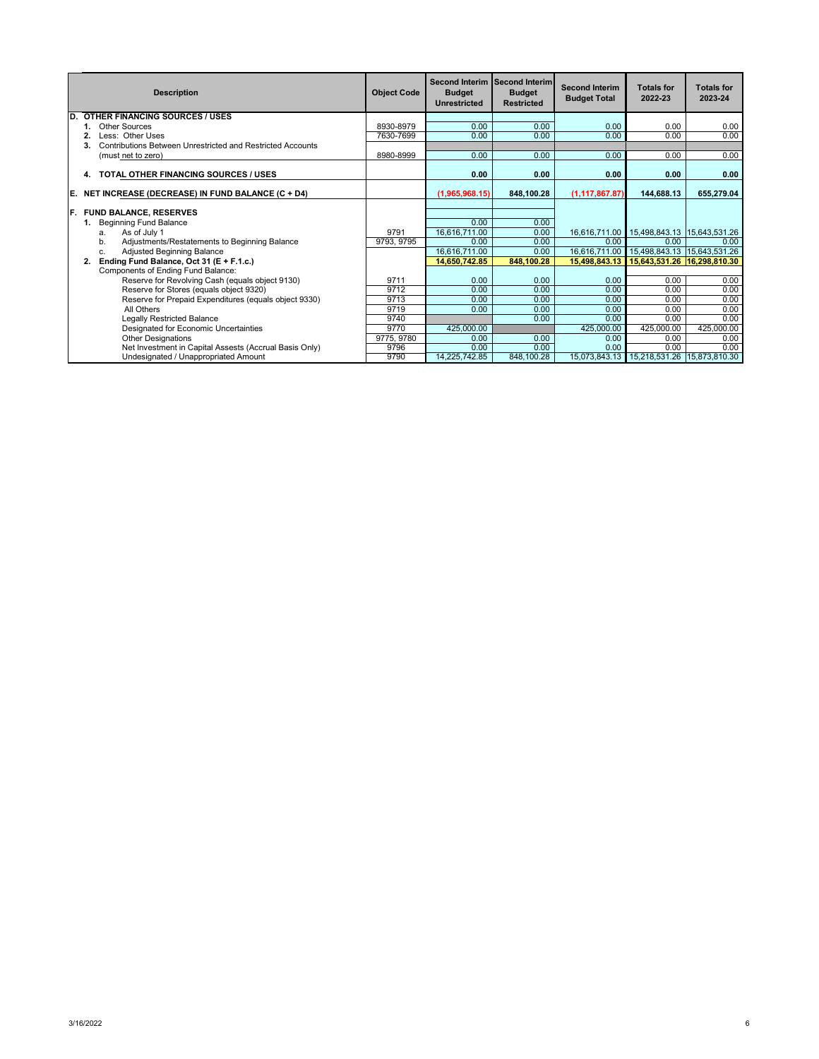|     | <b>Description</b>                                         | <b>Object Code</b> | <b>Budget</b><br><b>Unrestricted</b> | Second Interim Second Interim<br><b>Budget</b><br><b>Restricted</b> | <b>Second Interim</b><br><b>Budget Total</b> | <b>Totals for</b><br>2022-23                  | <b>Totals for</b><br>2023-24 |
|-----|------------------------------------------------------------|--------------------|--------------------------------------|---------------------------------------------------------------------|----------------------------------------------|-----------------------------------------------|------------------------------|
| ID. | <b>OTHER FINANCING SOURCES / USES</b>                      |                    |                                      |                                                                     |                                              |                                               |                              |
|     | Other Sources                                              | 8930-8979          | 0.00                                 | 0.00                                                                | 0.00                                         | 0.00                                          | 0.00                         |
|     | Less: Other Uses                                           | 7630-7699          | 0.00                                 | 0.00                                                                | 0.00                                         | 0.00                                          | 0.00                         |
|     | Contributions Between Unrestricted and Restricted Accounts |                    |                                      |                                                                     |                                              |                                               |                              |
|     | (must net to zero)                                         | 8980-8999          | 0.00                                 | 0.00                                                                | 0.00                                         | 0.00                                          | 0.00                         |
|     | <b>TOTAL OTHER FINANCING SOURCES / USES</b><br>4.          |                    | 0.00                                 | 0.00                                                                | 0.00                                         | 0.00                                          | 0.00                         |
| IE. | NET INCREASE (DECREASE) IN FUND BALANCE (C + D4)           |                    | (1,965,968.15)                       | 848,100.28                                                          | (1, 117, 867.87)                             | 144,688.13                                    | 655.279.04                   |
|     |                                                            |                    |                                      |                                                                     |                                              |                                               |                              |
| IF. | <b>FUND BALANCE, RESERVES</b>                              |                    |                                      |                                                                     |                                              |                                               |                              |
|     | <b>Beginning Fund Balance</b><br>1.                        |                    | 0.00                                 | 0.00                                                                |                                              |                                               |                              |
|     | As of July 1<br>a.                                         | 9791               | 16,616,711.00                        | 0.00                                                                |                                              |                                               |                              |
|     | Adjustments/Restatements to Beginning Balance<br>b.        | 9793, 9795         | 0.00                                 | 0.00                                                                | 0.00                                         | 0.00                                          | 0.00                         |
|     | Adjusted Beginning Balance<br>c.                           |                    | 16,616,711.00                        | 0.00                                                                | 16,616,711.00                                | 15,498,843.13 15,643,531.26                   |                              |
|     | Ending Fund Balance, Oct 31 (E + F.1.c.)<br>2.             |                    | 14,650,742.85                        | 848,100.28                                                          | 15.498.843.13                                | 15,643,531.26 16,298,810.30                   |                              |
|     | Components of Ending Fund Balance:                         |                    |                                      |                                                                     |                                              |                                               |                              |
|     | Reserve for Revolving Cash (equals object 9130)            | 9711               | 0.00                                 | 0.00                                                                | 0.00                                         | 0.00                                          | 0.00                         |
|     | Reserve for Stores (equals object 9320)                    | 9712               | 0.00                                 | 0.00                                                                | 0.00                                         | 0.00                                          | 0.00                         |
|     | Reserve for Prepaid Expenditures (equals object 9330)      | 9713               | 0.00                                 | 0.00                                                                | 0.00                                         | 0.00                                          | 0.00                         |
|     | All Others                                                 | 9719               | 0.00                                 | 0.00                                                                | 0.00                                         | 0.00                                          | 0.00                         |
|     | <b>Legally Restricted Balance</b>                          | 9740               |                                      | 0.00                                                                | 0.00                                         | 0.00                                          | 0.00                         |
|     | Designated for Economic Uncertainties                      | 9770               | 425,000.00                           |                                                                     | 425,000.00                                   | 425,000.00                                    | 425,000.00                   |
|     | <b>Other Designations</b>                                  | 9775, 9780         | 0.00                                 | 0.00                                                                | 0.00                                         | 0.00                                          | 0.00                         |
|     | Net Investment in Capital Assests (Accrual Basis Only)     | 9796               | 0.00                                 | 0.00                                                                | 0.00                                         | 0.00                                          | 0.00                         |
|     | Undesignated / Unappropriated Amount                       | 9790               | 14.225.742.85                        | 848,100.28                                                          |                                              | 15,073,843.13   15,218,531.26   15,873,810.30 |                              |